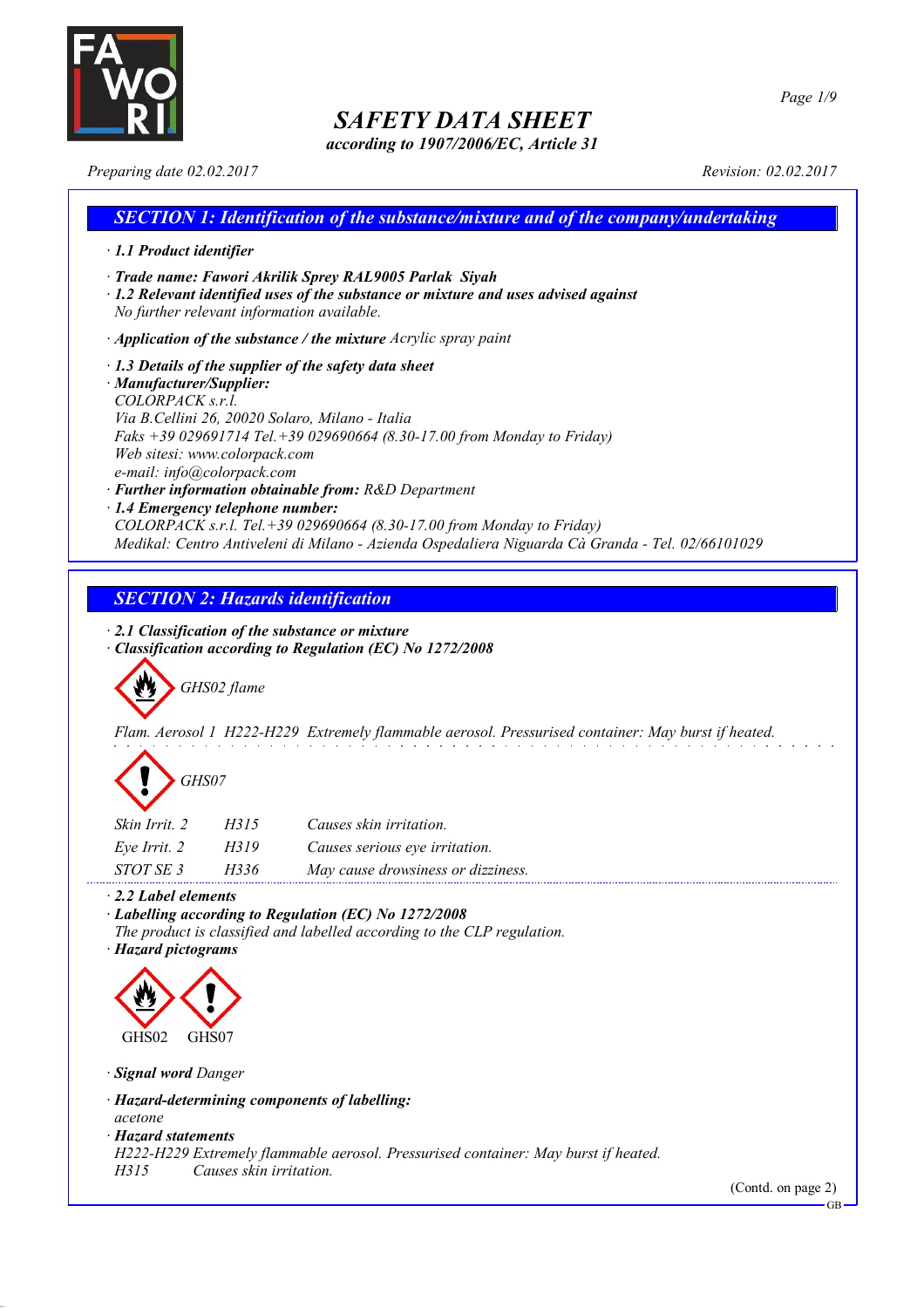

*according to 1907/2006/EC, Article 31*

*Preparing date 02.02.2017 Revision: 02.02.2017*

### *SECTION 1: Identification of the substance/mixture and of the company/undertaking · 1.1 Product identifier · Trade name: Fawori Akrilik Sprey RAL9005 Parlak Siyah · 1.2 Relevant identified uses of the substance or mixture and uses advised against No further relevant information available.*

- *· Application of the substance / the mixture Acrylic spray paint*
- *· 1.3 Details of the supplier of the safety data sheet · Manufacturer/Supplier: COLORPACK s.r.l. Via B.Cellini 26, 20020 Solaro, Milano - Italia Faks +39 029691714 Tel.+39 029690664 (8.30-17.00 from Monday to Friday) Web sitesi: www.colorpack.com e-mail: info@colorpack.com · Further information obtainable from: R&D Department*
- *· 1.4 Emergency telephone number:*

*COLORPACK s.r.l. Tel.+39 029690664 (8.30-17.00 from Monday to Friday) Medikal: Centro Antiveleni di Milano - Azienda Ospedaliera Niguarda Cà Granda - Tel. 02/66101029*

### *SECTION 2: Hazards identification*

*· 2.1 Classification of the substance or mixture*

*· Classification according to Regulation (EC) No 1272/2008*

*GHS02 flame*

*Flam. Aerosol 1 H222-H229 Extremely flammable aerosol. Pressurised container: May burst if heated.*

# *GHS07*

| Skin Irrit, 2    | H315 | Causes skin irritation.            |
|------------------|------|------------------------------------|
| Eve Irrit. 2     | H319 | Causes serious eye irritation.     |
| <i>STOT SE 3</i> | H336 | May cause drowsiness or dizziness. |

*· 2.2 Label elements*

*· Labelling according to Regulation (EC) No 1272/2008*

*The product is classified and labelled according to the CLP regulation.*

*· Hazard pictograms*



*· Signal word Danger*

*· Hazard-determining components of labelling:*

*acetone*

*· Hazard statements*

*H222-H229 Extremely flammable aerosol. Pressurised container: May burst if heated.*

*H315 Causes skin irritation.*

(Contd. on page 2)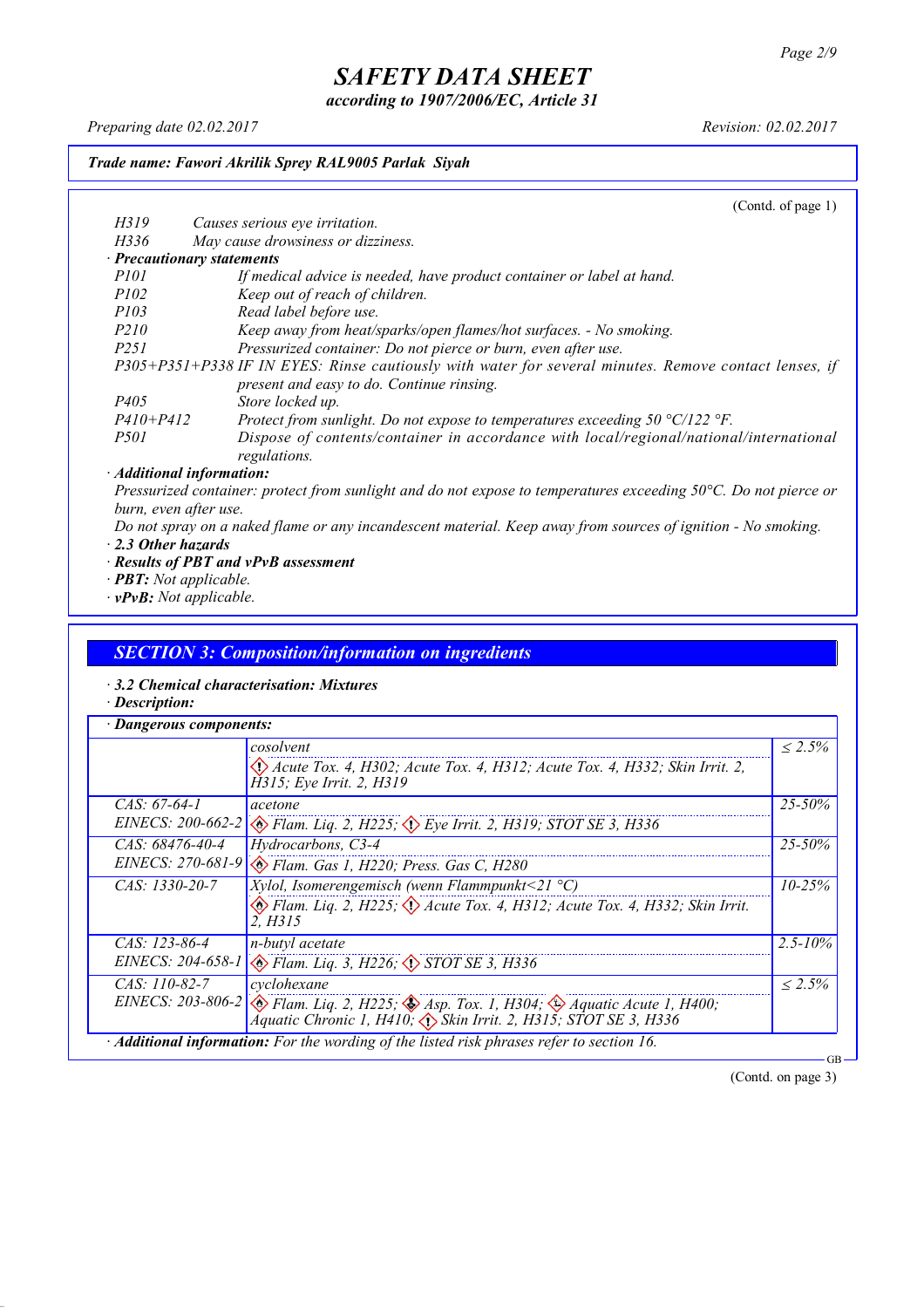*according to 1907/2006/EC, Article 31*

*Preparing date 02.02.2017 Revision: 02.02.2017*

### *Trade name: Fawori Akrilik Sprey RAL9005 Parlak Siyah*

|                  | (Contd. of page $1$ )                                                                                 |
|------------------|-------------------------------------------------------------------------------------------------------|
| H319             | Causes serious eye irritation.                                                                        |
| H336             | May cause drowsiness or dizziness.                                                                    |
|                  | · Precautionary statements                                                                            |
| <i>P101</i>      | If medical advice is needed, have product container or label at hand.                                 |
| <i>P102</i>      | Keep out of reach of children.                                                                        |
| <i>P103</i>      | Read label before use.                                                                                |
| <i>P210</i>      | Keep away from heat/sparks/open flames/hot surfaces. - No smoking.                                    |
| P <sub>251</sub> | Pressurized container: Do not pierce or burn, even after use.                                         |
|                  | P305+P351+P338 IF IN EYES: Rinse cautiously with water for several minutes. Remove contact lenses, if |
|                  | present and easy to do. Continue rinsing.                                                             |
| P <sub>405</sub> | Store locked up.                                                                                      |
| $P410 + P412$    | Protect from sunlight. Do not expose to temperatures exceeding 50 $\degree$ C/122 $\degree$ F.        |
| <i>P501</i>      | Dispose of contents/container in accordance with local/regional/national/international                |
|                  | regulations.                                                                                          |
|                  | $\cdot$ Additional information:                                                                       |
|                  |                                                                                                       |

Pressurized container: protect from sunlight and do not expose to temperatures exceeding 50°C. Do not pierce or *burn, even after use.*

- Do not spray on a naked flame or any incandescent material. Keep away from sources of ignition No smoking. *· 2.3 Other hazards*
- *· Results of PBT and vPvB assessment*
- *· PBT: Not applicable.*
- *· vPvB: Not applicable.*

### *SECTION 3: Composition/information on ingredients*

- *· 3.2 Chemical characterisation: Mixtures*
- *· Description:*

| Dangerous components: | cosolvent                                                                                                                                                                                              | $\leq 2.5\%$ |  |
|-----------------------|--------------------------------------------------------------------------------------------------------------------------------------------------------------------------------------------------------|--------------|--|
|                       | $\langle \cdot \rangle$ Acute Tox. 4, H302; Acute Tox. 4, H312; Acute Tox. 4, H332; Skin Irrit. 2,<br>H315; Eye Irrit. 2, H319                                                                         |              |  |
| $CAS: 67-64-1$        | acetone                                                                                                                                                                                                | $25 - 50\%$  |  |
| EINECS: 200-662-2     | Belam. Liq. 2, H225; $\Diamond$ Eye Irrit. 2, H319; STOT SE 3, H336                                                                                                                                    |              |  |
| $CAS: 68476-40-4$     | Hydrocarbons, C3-4                                                                                                                                                                                     | $25 - 50\%$  |  |
|                       | EINECS: 270-681-9 & Flam. Gas 1, H220; Press. Gas C, H280                                                                                                                                              |              |  |
| $CAS: 1330-20-7$      | Xylol, Isomerengemisch (wenn Flammpunkt<21 $^{\circ}$ C)                                                                                                                                               | $10 - 25\%$  |  |
|                       | $\otimes$ Flam. Lig. 2, H225; $\otimes$ Acute Tox. 4, H312; Acute Tox. 4, H332; Skin Irrit.<br>2. H315                                                                                                 |              |  |
| $CAS: 123-86-4$       | $n$ -butyl acetate                                                                                                                                                                                     | $2.5 - 10\%$ |  |
|                       | EINECS: 204-658-1 & Flam. Liq. 3, H226; STOT SE 3, H336                                                                                                                                                |              |  |
| $CAS: 110-82-7$       | cyclohexane                                                                                                                                                                                            | $\leq 2.5\%$ |  |
|                       | EINECS: 203-806-2 $\otimes$ Flam. Liq. 2, H225; $\otimes$ Asp. Tox. 1, H304; $\otimes$ Aquatic Acute 1, H400;<br>Aquatic Chronic 1, H410, $\langle \cdot \rangle$ Skin Irrit. 2, H315; STOT SE 3, H336 |              |  |

(Contd. on page 3)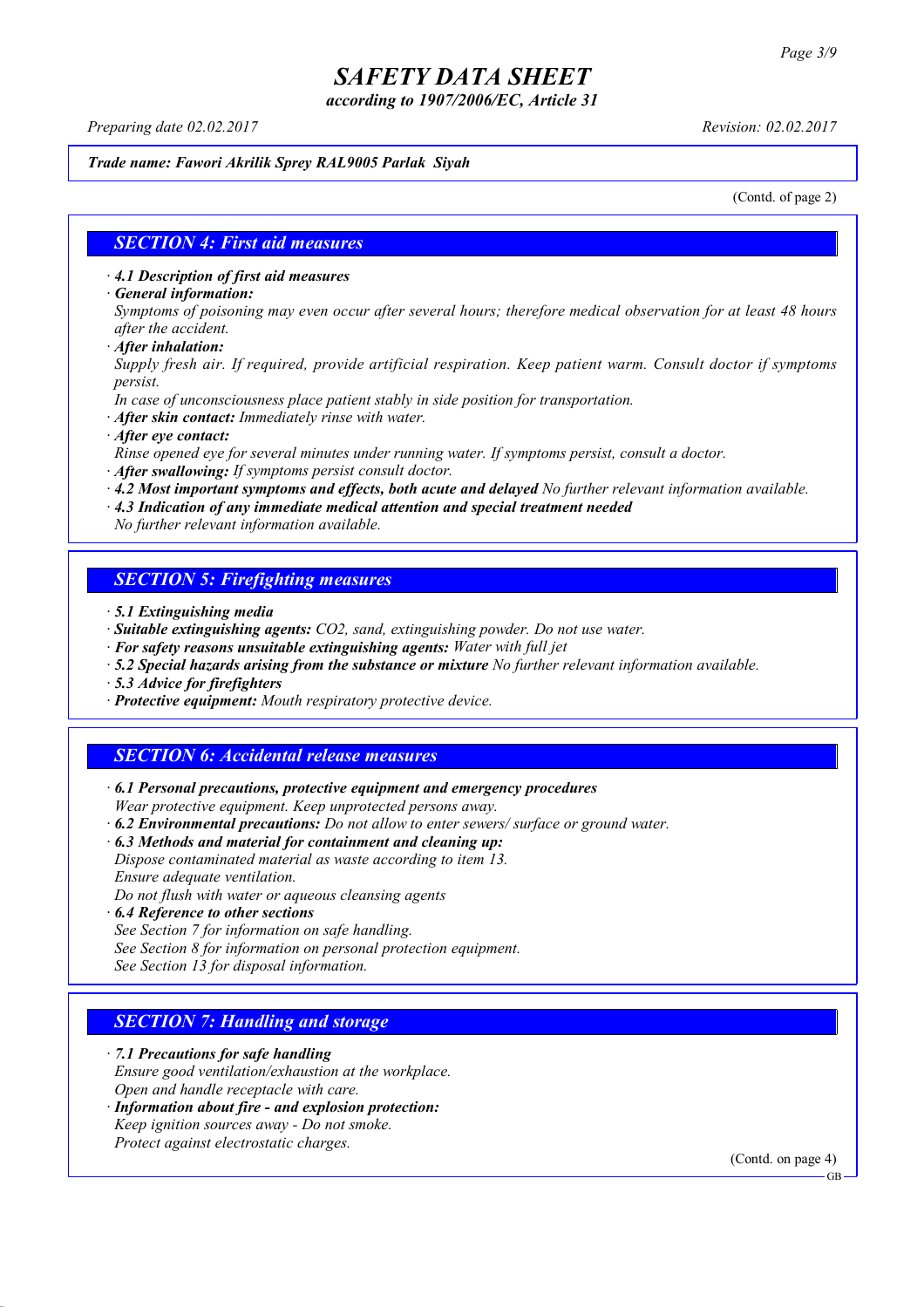*according to 1907/2006/EC, Article 31*

*Preparing date 02.02.2017 Revision: 02.02.2017*

### *Trade name: Fawori Akrilik Sprey RAL9005 Parlak Siyah*

(Contd. of page 2)

### *SECTION 4: First aid measures*

*· 4.1 Description of first aid measures*

*· General information:*

Symptoms of poisoning may even occur after several hours; therefore medical observation for at least 48 hours *after the accident.*

*· After inhalation:*

*Supply fresh air. If required, provide artificial respiration. Keep patient warm. Consult doctor if symptoms persist.*

*In case of unconsciousness place patient stably in side position for transportation.*

- *· After skin contact: Immediately rinse with water.*
- *· After eye contact:*

*Rinse opened eye for several minutes under running water. If symptoms persist, consult a doctor.*

*· After swallowing: If symptoms persist consult doctor.*

*· 4.2 Most important symptoms and effects, both acute and delayed No further relevant information available.*

*· 4.3 Indication of any immediate medical attention and special treatment needed*

*No further relevant information available.*

### *SECTION 5: Firefighting measures*

- *· 5.1 Extinguishing media*
- *· Suitable extinguishing agents: CO2, sand, extinguishing powder. Do not use water.*
- *· For safety reasons unsuitable extinguishing agents: Water with full jet*
- *· 5.2 Special hazards arising from the substance or mixture No further relevant information available.*
- *· 5.3 Advice for firefighters*
- *· Protective equipment: Mouth respiratory protective device.*

### *SECTION 6: Accidental release measures*

*· 6.1 Personal precautions, protective equipment and emergency procedures Wear protective equipment. Keep unprotected persons away.*

*· 6.2 Environmental precautions: Do not allow to enter sewers/ surface or ground water.*

*· 6.3 Methods and material for containment and cleaning up:*

*Dispose contaminated material as waste according to item 13. Ensure adequate ventilation.*

*Do not flush with water or aqueous cleansing agents*

- *· 6.4 Reference to other sections*
- *See Section 7 for information on safe handling.*

*See Section 8 for information on personal protection equipment.*

*See Section 13 for disposal information.*

### *SECTION 7: Handling and storage*

*· 7.1 Precautions for safe handling*

*Ensure good ventilation/exhaustion at the workplace.*

*Open and handle receptacle with care.*

*· Information about fire - and explosion protection: Keep ignition sources away - Do not smoke.*

*Protect against electrostatic charges.*

(Contd. on page 4)

GB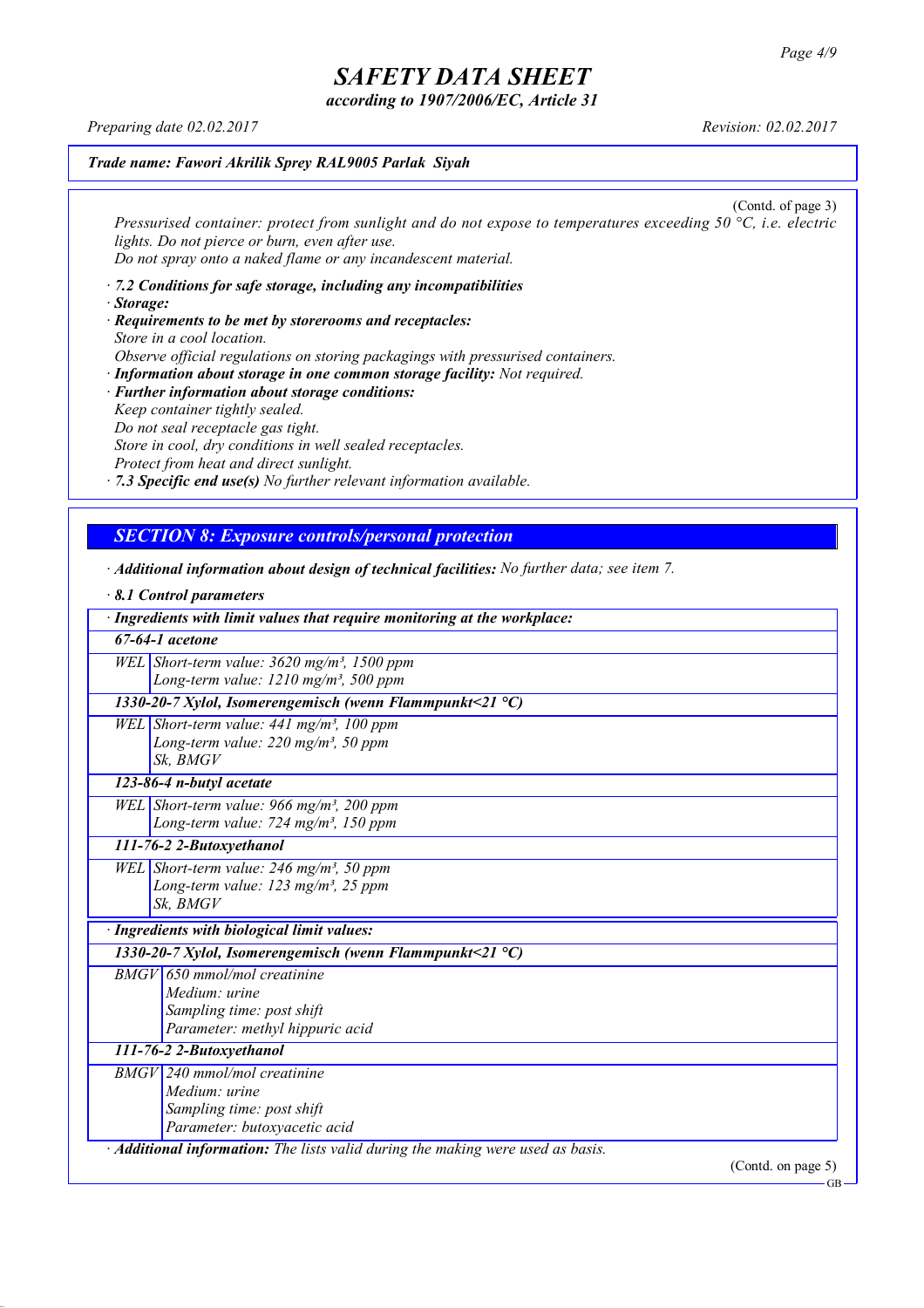*according to 1907/2006/EC, Article 31*

*Preparing date 02.02.2017 Revision: 02.02.2017*

#### *Trade name: Fawori Akrilik Sprey RAL9005 Parlak Siyah*

(Contd. of page 3) *Pressurised container: protect from sunlight and do not expose to temperatures exceeding 50 °C, i.e. electric lights. Do not pierce or burn, even after use. Do not spray onto a naked flame or any incandescent material.*

- *· 7.2 Conditions for safe storage, including any incompatibilities · Storage:*
- *· Requirements to be met by storerooms and receptacles: Store in a cool location. Observe official regulations on storing packagings with pressurised containers.*
- *· Information about storage in one common storage facility: Not required. · Further information about storage conditions: Keep container tightly sealed. Do not seal receptacle gas tight. Store in cool, dry conditions in well sealed receptacles. Protect from heat and direct sunlight.*

*· 7.3 Specific end use(s) No further relevant information available.*

### *SECTION 8: Exposure controls/personal protection*

*· Additional information about design of technical facilities: No further data; see item 7.*

| 8.1 Control parameters                                                          |
|---------------------------------------------------------------------------------|
| · Ingredients with limit values that require monitoring at the workplace:       |
| $67-64-1$ acetone                                                               |
| WEL Short-term value: $3620$ mg/m <sup>3</sup> , 1500 ppm                       |
| Long-term value: $1210$ mg/m <sup>3</sup> , 500 ppm                             |
| 1330-20-7 Xylol, Isomerengemisch (wenn Flammpunkt<21 °C)                        |
| WEL Short-term value: 441 mg/m <sup>3</sup> , 100 ppm                           |
| Long-term value: 220 mg/m <sup>3</sup> , 50 ppm                                 |
| Sk. BMGV                                                                        |
| 123-86-4 n-butyl acetate                                                        |
| WEL Short-term value: 966 mg/m <sup>3</sup> , 200 ppm                           |
| Long-term value: 724 mg/m <sup>3</sup> , 150 ppm                                |
| 111-76-2 2-Butoxyethanol                                                        |
| WEL Short-term value: 246 mg/m <sup>3</sup> , 50 ppm                            |
| Long-term value: 123 mg/m <sup>3</sup> , 25 ppm                                 |
| Sk. BMGV                                                                        |
| · Ingredients with biological limit values:                                     |
| 1330-20-7 Xylol, Isomerengemisch (wenn Flammpunkt<21 $^{\circ}$ C)              |
| $BMGV$ 650 mmol/mol creatinine                                                  |
| Medium: urine                                                                   |
| Sampling time: post shift                                                       |
| Parameter: methyl hippuric acid                                                 |
| 111-76-2 2-Butoxyethanol                                                        |
| $BMGV$ 240 mmol/mol creatinine                                                  |
| Medium: urine                                                                   |
| Sampling time: post shift                                                       |
| Parameter: butoxyacetic acid                                                    |
| · Additional information: The lists valid during the making were used as basis. |
| (Contd. on page $5$ )                                                           |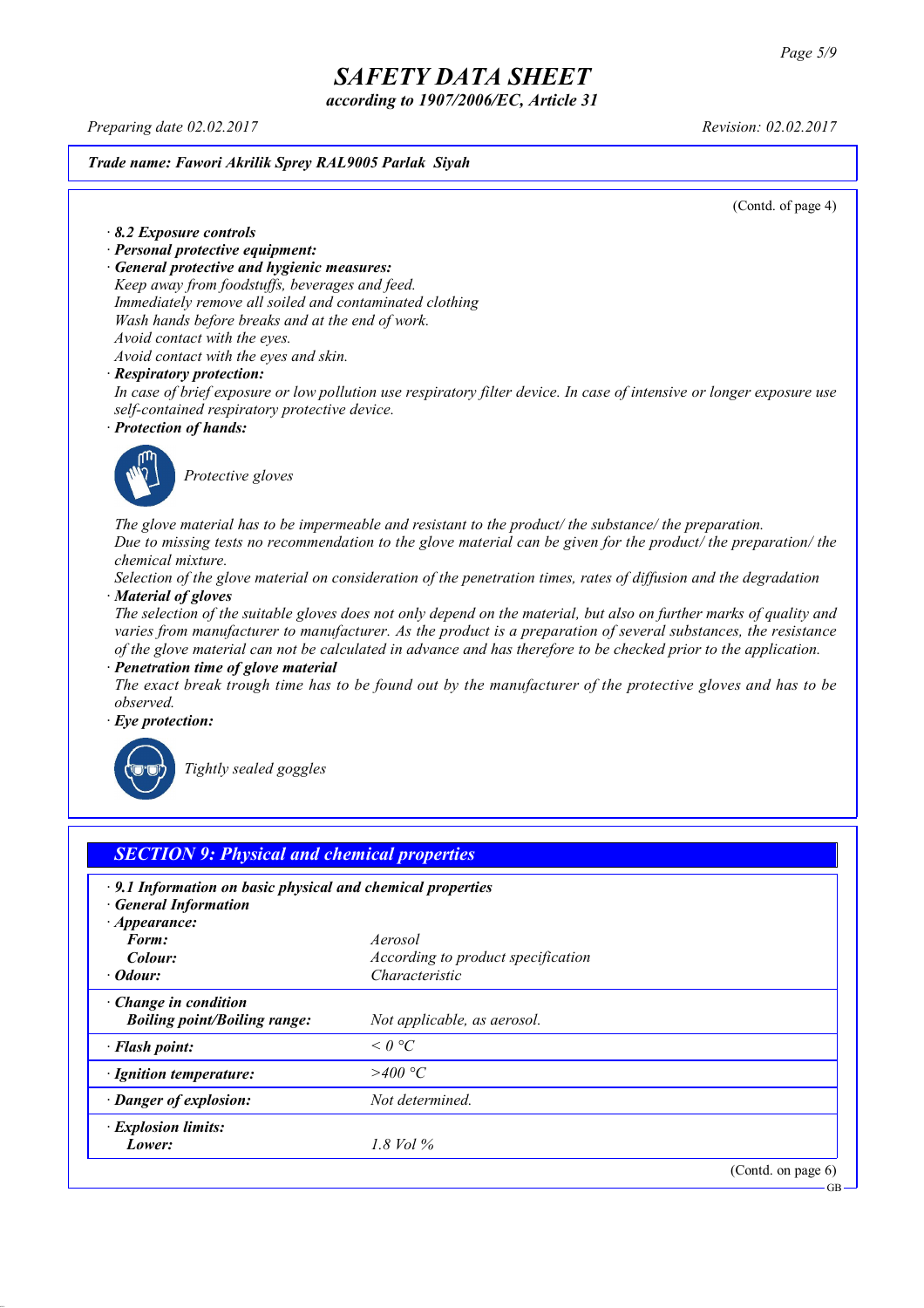*according to 1907/2006/EC, Article 31*

*Preparing date 02.02.2017 Revision: 02.02.2017*

### *Trade name: Fawori Akrilik Sprey RAL9005 Parlak Siyah*

(Contd. of page 4)

*· 8.2 Exposure controls*

- *· Personal protective equipment:*
- *· General protective and hygienic measures:*

*Keep away from foodstuffs, beverages and feed. Immediately remove all soiled and contaminated clothing Wash hands before breaks and at the end of work. Avoid contact with the eyes.*

*Avoid contact with the eyes and skin.*

#### *· Respiratory protection:*

In case of brief exposure or low pollution use respiratory filter device. In case of intensive or longer exposure use *self-contained respiratory protective device.*

*· Protection of hands:*



*Protective gloves*

*The glove material has to be impermeable and resistant to the product/ the substance/ the preparation.* Due to missing tests no recommendation to the glove material can be given for the product/ the preparation/ the *chemical mixture.*

Selection of the glove material on consideration of the penetration times, rates of diffusion and the degradation *· Material of gloves*

The selection of the suitable gloves does not only depend on the material, but also on further marks of quality and *varies from manufacturer to manufacturer. As the product is a preparation of several substances, the resistance* of the glove material can not be calculated in advance and has therefore to be checked prior to the application.

*· Penetration time of glove material*

The exact break trough time has to be found out by the manufacturer of the protective gloves and has to be *observed.*

*· Eye protection:*



*Tightly sealed goggles*

| $\cdot$ 9.1 Information on basic physical and chemical properties<br><b>General Information</b> |                                           |  |
|-------------------------------------------------------------------------------------------------|-------------------------------------------|--|
| $\cdot$ Appearance:                                                                             |                                           |  |
| Form:                                                                                           | Aerosol                                   |  |
| Colour:                                                                                         | <i>According to product specification</i> |  |
| $\cdot$ Odour:                                                                                  | Characteristic                            |  |
| Change in condition<br><b>Boiling point/Boiling range:</b>                                      | Not applicable, as aerosol.               |  |
| · Flash point:                                                                                  | $\leq$ 0 °C                               |  |
| · Ignition temperature:                                                                         | >400 °C                                   |  |
| · Danger of explosion:                                                                          | Not determined.                           |  |
| · Explosion limits:                                                                             |                                           |  |
| Lower:                                                                                          | 1.8 Vol $\%$                              |  |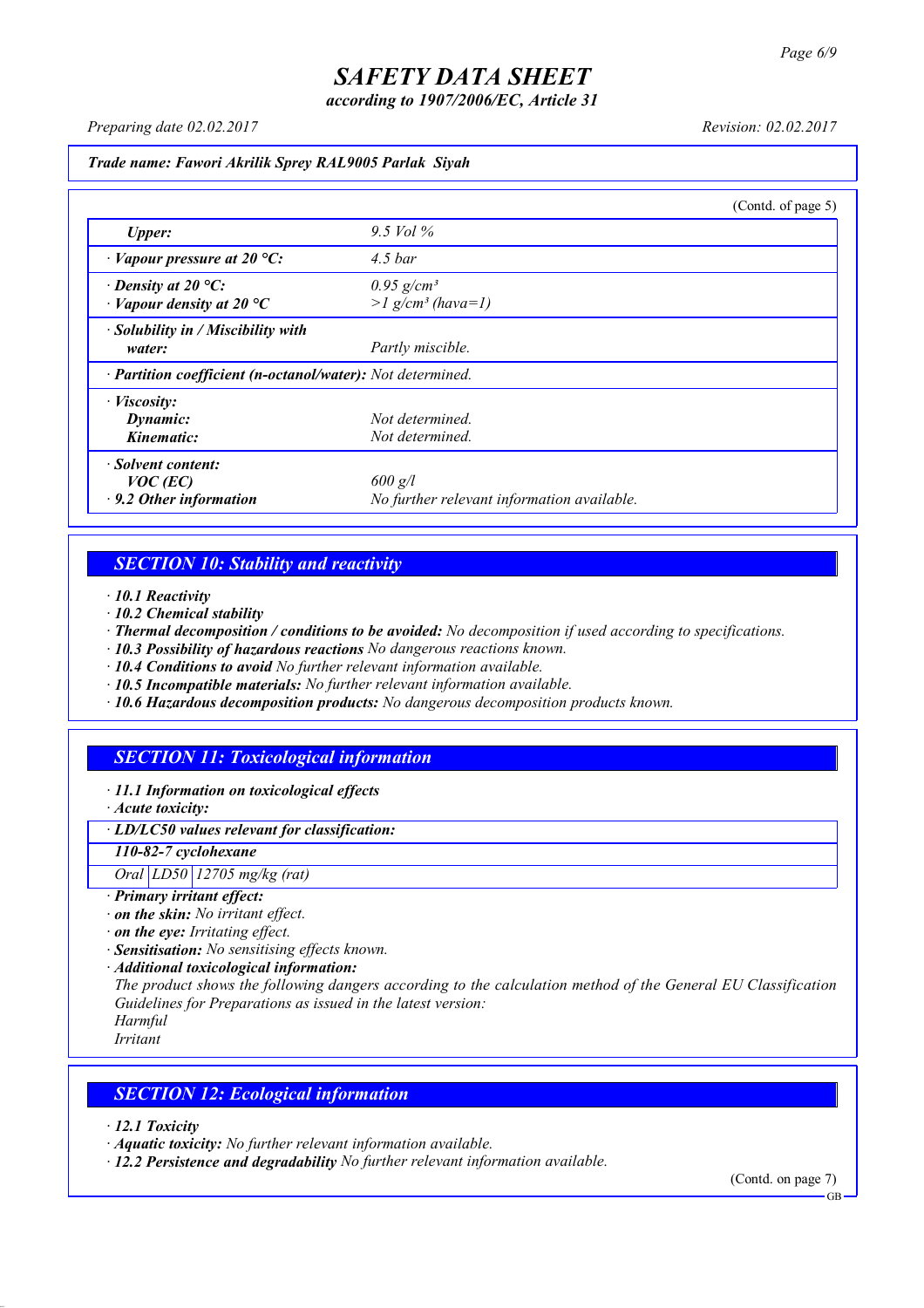*according to 1907/2006/EC, Article 31*

*Preparing date 02.02.2017 Revision: 02.02.2017*

#### *Trade name: Fawori Akrilik Sprey RAL9005 Parlak Siyah*

|                                                            |                                            | (Contd. of page $5$ ) |
|------------------------------------------------------------|--------------------------------------------|-----------------------|
| Upper:                                                     | 9.5 Vol $\%$                               |                       |
| $\cdot$ Vapour pressure at 20 °C:                          | $4.5\,bar$                                 |                       |
| $\cdot$ Density at 20 °C:                                  | $0.95$ g/cm <sup>3</sup>                   |                       |
| $\cdot$ Vapour density at 20 °C                            | $>l$ g/cm <sup>3</sup> (hava=1)            |                       |
| · Solubility in / Miscibility with                         |                                            |                       |
| water:                                                     | Partly miscible.                           |                       |
| · Partition coefficient (n-octanol/water): Not determined. |                                            |                       |
| · <i>Viscosity</i> :                                       |                                            |                       |
| Dynamic:                                                   | Not determined.                            |                       |
| Kinematic:                                                 | Not determined.                            |                       |
| · Solvent content:                                         |                                            |                       |
| $VOC$ (EC)                                                 | $600$ g/l                                  |                       |
| $\cdot$ 9.2 Other information                              | No further relevant information available. |                       |

### *SECTION 10: Stability and reactivity*

- *· 10.1 Reactivity*
- *· 10.2 Chemical stability*
- *· Thermal decomposition / conditions to be avoided: No decomposition if used according to specifications.*
- *· 10.3 Possibility of hazardous reactions No dangerous reactions known.*
- *· 10.4 Conditions to avoid No further relevant information available.*
- *· 10.5 Incompatible materials: No further relevant information available.*
- *· 10.6 Hazardous decomposition products: No dangerous decomposition products known.*

### *SECTION 11: Toxicological information*

- *· 11.1 Information on toxicological effects*
- *· Acute toxicity:*

### *· LD/LC50 values relevant for classification:*

#### *110-82-7 cyclohexane*

*Oral LD50 12705 mg/kg (rat)*

#### *· Primary irritant effect:*

- *· on the skin: No irritant effect.*
- *· on the eye: Irritating effect.*
- *· Sensitisation: No sensitising effects known.*
- *· Additional toxicological information:*

*The product shows the following dangers according to the calculation method of the General EU Classification Guidelines for Preparations as issued in the latest version:*

*Harmful*

*Irritant*

### *SECTION 12: Ecological information*

*· 12.1 Toxicity*

- *· Aquatic toxicity: No further relevant information available.*
- *· 12.2 Persistence and degradability No further relevant information available.*

(Contd. on page 7) **GB**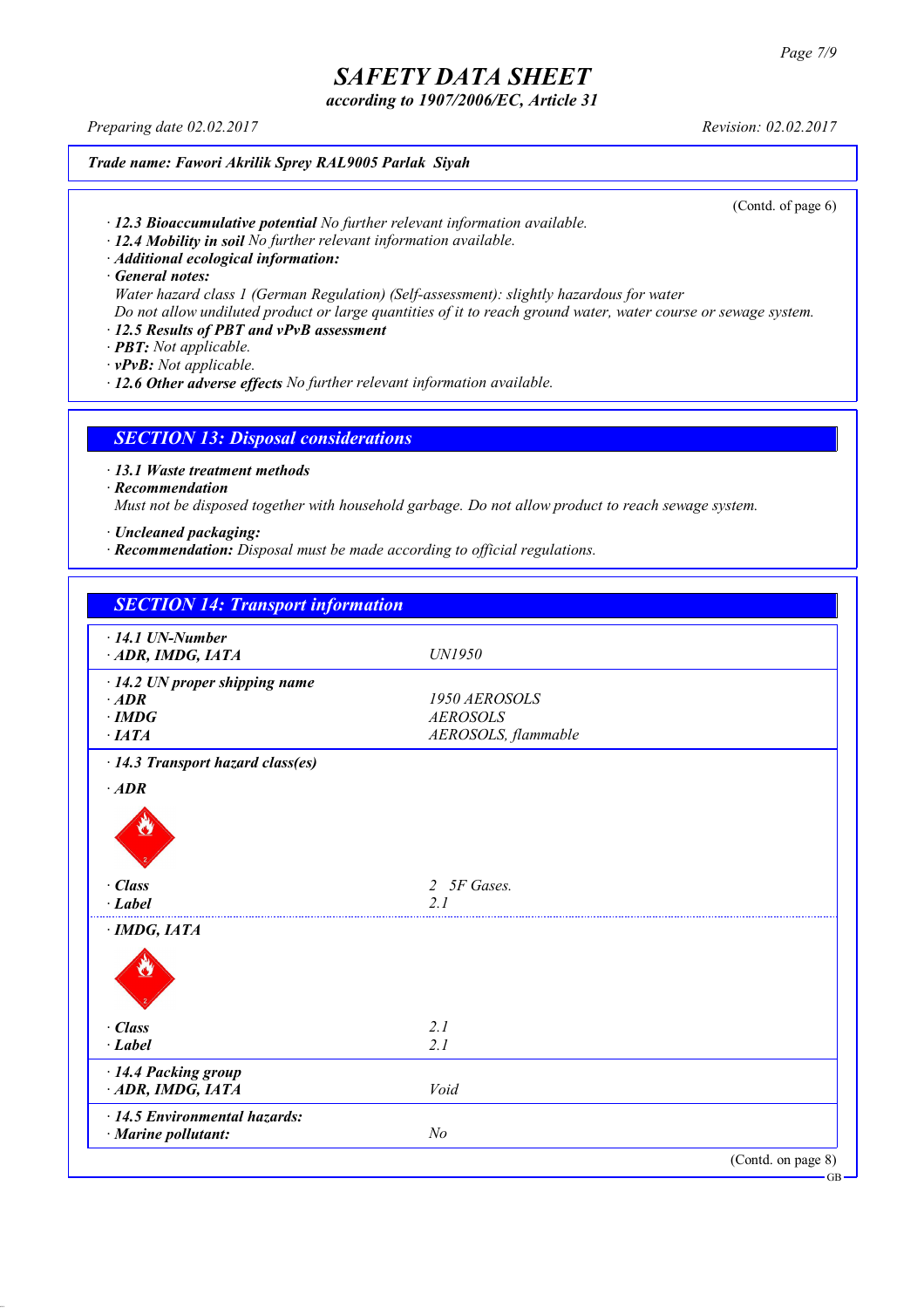*according to 1907/2006/EC, Article 31*

*Preparing date 02.02.2017 Revision: 02.02.2017*

#### *Trade name: Fawori Akrilik Sprey RAL9005 Parlak Siyah*

(Contd. of page 6)

- *· 12.3 Bioaccumulative potential No further relevant information available.*
- *· 12.4 Mobility in soil No further relevant information available.*
- *· Additional ecological information:*

*· General notes:*

*Water hazard class 1 (German Regulation) (Self-assessment): slightly hazardous for water*

Do not allow undiluted product or large quantities of it to reach ground water, water course or sewage system.

- *· 12.5 Results of PBT and vPvB assessment*
- *· PBT: Not applicable.*
- *· vPvB: Not applicable.*
- *· 12.6 Other adverse effects No further relevant information available.*

### *SECTION 13: Disposal considerations*

*· 13.1 Waste treatment methods*

*· Recommendation*

*Must not be disposed together with household garbage. Do not allow product to reach sewage system.*

*· Uncleaned packaging:*

*· Recommendation: Disposal must be made according to official regulations.*

| <b>SECTION 14: Transport information</b> |                     |  |
|------------------------------------------|---------------------|--|
| $\cdot$ 14.1 UN-Number                   |                     |  |
| ADR, IMDG, IATA                          | UN1950              |  |
| $\cdot$ 14.2 UN proper shipping name     |                     |  |
| $·$ <i>ADR</i>                           | 1950 AEROSOLS       |  |
| $\cdot$ IMDG                             | <b>AEROSOLS</b>     |  |
| $\cdot$ IATA                             | AEROSOLS, flammable |  |
| · 14.3 Transport hazard class(es)        |                     |  |
| $·$ <i>ADR</i>                           |                     |  |
|                                          |                     |  |
| $\cdot$ Class                            | 2 5F Gases.         |  |
| · Label                                  | 2 <sub>1</sub>      |  |
| $\cdot$ IMDG, IATA                       |                     |  |
|                                          |                     |  |
| $\cdot$ Class                            | 2.1                 |  |
| $-Label$                                 | 2.1                 |  |
| · 14.4 Packing group<br>ADR, IMDG, IATA  | Void                |  |
|                                          |                     |  |
| $\cdot$ 14.5 Environmental hazards:      |                     |  |
| · Marine pollutant:                      | N <sub>o</sub>      |  |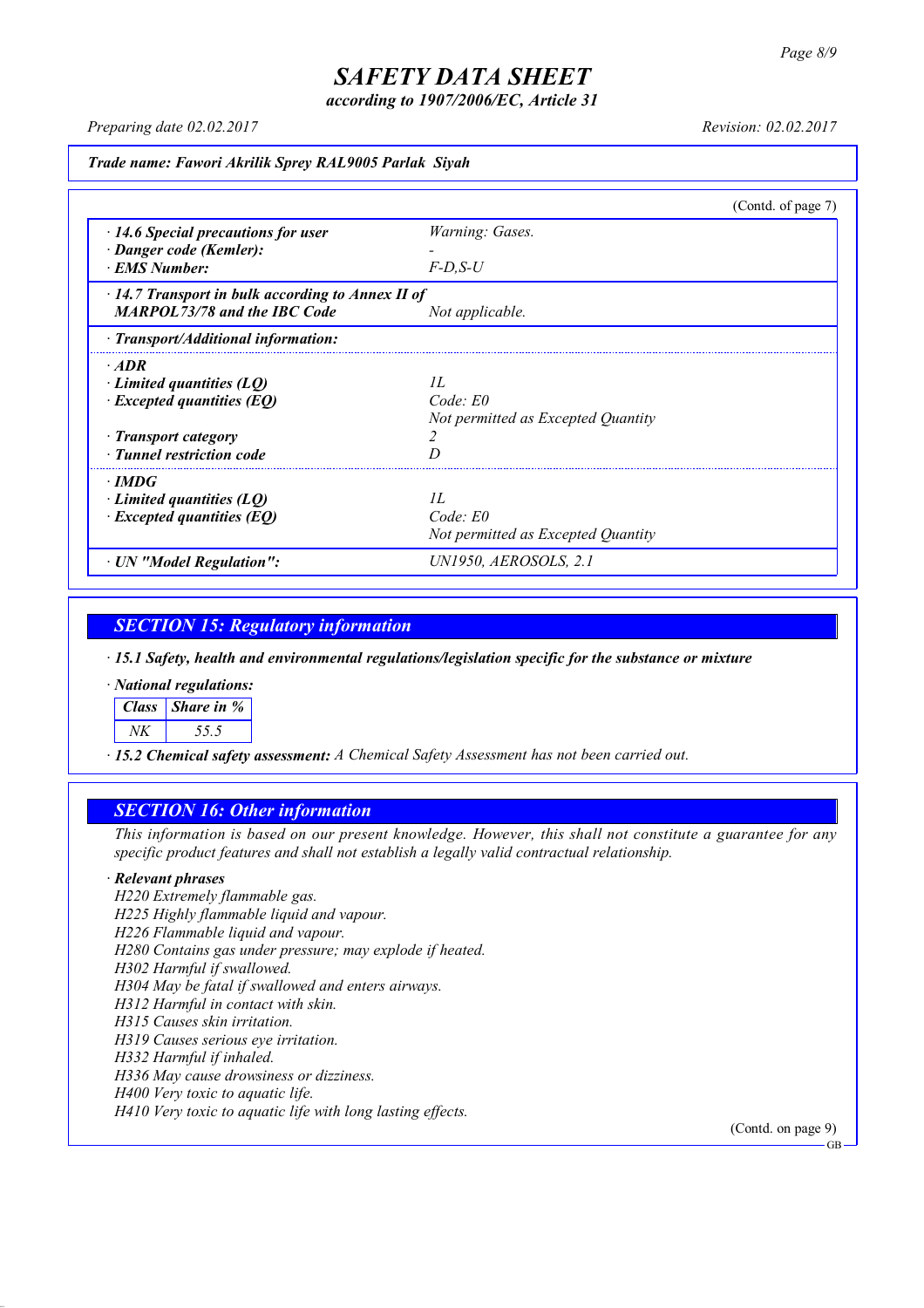*according to 1907/2006/EC, Article 31*

*Preparing date 02.02.2017 Revision: 02.02.2017*

*Trade name: Fawori Akrilik Sprey RAL9005 Parlak Siyah*

|                                                         |                                    | (Contd. of page $7$ ) |
|---------------------------------------------------------|------------------------------------|-----------------------|
| $\cdot$ 14.6 Special precautions for user               | Warning: Gases.                    |                       |
| · Danger code (Kemler):                                 |                                    |                       |
| · EMS Number:                                           | $F$ -D.S-U                         |                       |
| $\cdot$ 14.7 Transport in bulk according to Annex II of |                                    |                       |
| <b>MARPOL73/78 and the IBC Code</b>                     | Not applicable.                    |                       |
| $\cdot$ Transport/Additional information:               |                                    |                       |
| $\cdot$ ADR                                             |                                    |                       |
| $\cdot$ Limited quantities (LQ)                         | II.                                |                       |
| $\cdot$ Excepted quantities (EQ)                        | Code: E0                           |                       |
|                                                         | Not permitted as Excepted Quantity |                       |
| · Transport category                                    |                                    |                       |
| · Tunnel restriction code                               |                                    |                       |
| · IMDG                                                  |                                    |                       |
| Limited quantities $(LQ)$                               | II.                                |                       |
| $\cdot$ Excepted quantities (EQ)                        | Code: E0                           |                       |
|                                                         | Not permitted as Excepted Quantity |                       |
| · UN "Model Regulation":                                | UN1950. AEROSOLS. 2.1              |                       |

*SECTION 15: Regulatory information*

*· 15.1 Safety, health and environmental regulations/legislation specific for the substance or mixture*

*· National regulations:*

| Class Share in % |
|------------------|
|                  |

*· 15.2 Chemical safety assessment: A Chemical Safety Assessment has not been carried out.*

### *SECTION 16: Other information*

This information is based on our present knowledge. However, this shall not constitute a guarantee for any *specific product features and shall not establish a legally valid contractual relationship.*

#### *· Relevant phrases*

*H220 Extremely flammable gas. H225 Highly flammable liquid and vapour. H226 Flammable liquid and vapour. H280 Contains gas under pressure; may explode if heated. H302 Harmful if swallowed. H304 May be fatal if swallowed and enters airways. H312 Harmful in contact with skin. H315 Causes skin irritation. H319 Causes serious eye irritation. H332 Harmful if inhaled. H336 May cause drowsiness or dizziness. H400 Very toxic to aquatic life. H410 Very toxic to aquatic life with long lasting effects.*

(Contd. on page 9)